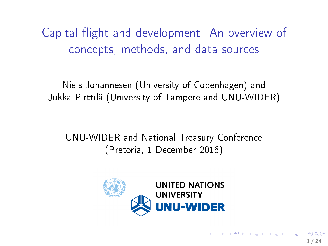Capital flight and development: An overview of concepts, methods, and data sources

Niels Johannesen (University of Copenhagen) and Jukka Pirttilä (University of Tampere and UNU-WIDER)

UNU-WIDER and National Treasury Conference (Pretoria, 1 December 2016)



1 / 24

K ロ X K 個 X X 평 X X 평 X X 평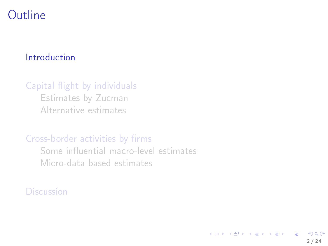### <span id="page-1-0"></span>[Introduction](#page-1-0)

### Capital flight by individuals

[Estimates by Zucman](#page-5-0) [Alternative estimates](#page-7-0)

### Cross-border activities by firms

Some influential macro-level estimates [Micro-data based estimates](#page-16-0)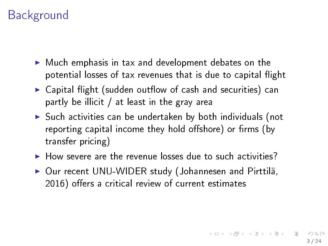# Background

- $\blacktriangleright$  Much emphasis in tax and development debates on the potential losses of tax revenues that is due to capital flight
- $\triangleright$  Capital flight (sudden outflow of cash and securities) can partly be illicit / at least in the gray area
- $\triangleright$  Such activities can be undertaken by both individuals (not reporting capital income they hold offshore) or firms (by transfer pricing)
- $\blacktriangleright$  How severe are the revenue losses due to such activities?
- ▶ Our recent UNU-WIDER study (Johannesen and Pirttilä, 2016) offers a critical review of current estimates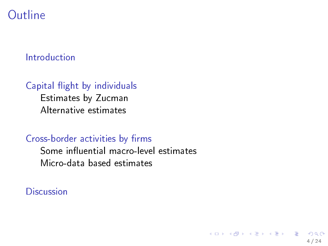#### [Introduction](#page-1-0)

#### Capital flight by individuals

[Estimates by Zucman](#page-5-0) [Alternative estimates](#page-7-0)

#### Cross-border activities by firms

Some influential macro-level estimates [Micro-data based estimates](#page-16-0)

4 / 24

 $\Omega$ 

K ロ X K @ X K 경 X K 경 X 시 경 X 시 경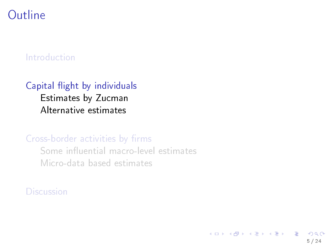#### <span id="page-4-0"></span>[Introduction](#page-1-0)

### Capital flight by individuals [Estimates by Zucman](#page-5-0)

[Alternative estimates](#page-7-0)

#### Cross-border activities by firms

Some influential macro-level estimates [Micro-data based estimates](#page-16-0)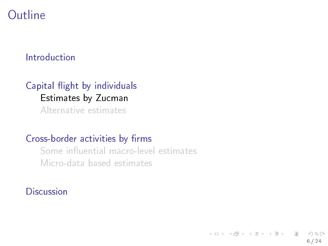#### <span id="page-5-0"></span>[Introduction](#page-1-0)

## Capital flight by individuals [Estimates by Zucman](#page-5-0)

[Alternative estimates](#page-7-0)

#### Cross-border activities by firms

Some influential macro-level estimates [Micro-data based estimates](#page-16-0)

**[Discussion](#page-19-0)** 

K ロンス (個) 시 제 정 시 경 > 시 경  $\Omega$ 6 / 24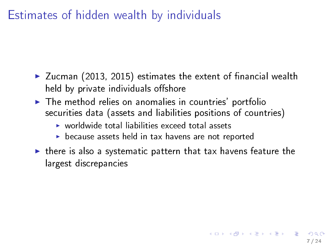Estimates of hidden wealth by individuals

- $\blacktriangleright$  Zucman (2013, 2015) estimates the extent of financial wealth held by private individuals offshore
- $\blacktriangleright$  The method relies on anomalies in countries' portfolio securities data (assets and liabilities positions of countries)
	- $\triangleright$  worldwide total liabilities exceed total assets
	- $\triangleright$  because assets held in tax havens are not reported
- $\blacktriangleright$  there is also a systematic pattern that tax havens feature the largest discrepancies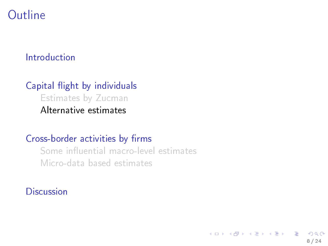#### <span id="page-7-0"></span>[Introduction](#page-1-0)

### Capital flight by individuals [Estimates by Zucman](#page-5-0) [Alternative estimates](#page-7-0)

#### Cross-border activities by firms

Some influential macro-level estimates [Micro-data based estimates](#page-16-0)

8 / 24

 $\Omega$ 

K ロ X K @ X K 할 X K 할 X ( 할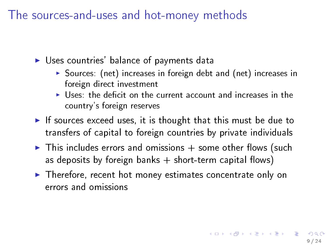The sources-and-uses and hot-money methods

 $\triangleright$  Uses countries' balance of payments data

- $\triangleright$  Sources: (net) increases in foreign debt and (net) increases in foreign direct investment
- $\blacktriangleright$  Uses: the deficit on the current account and increases in the country's foreign reserves
- If sources exceed uses, it is thought that this must be due to transfers of capital to foreign countries by private individuals
- $\triangleright$  This includes errors and omissions  $+$  some other flows (such as deposits by foreign banks  $+$  short-term capital flows)
- $\blacktriangleright$  Therefore, recent hot money estimates concentrate only on errors and omissions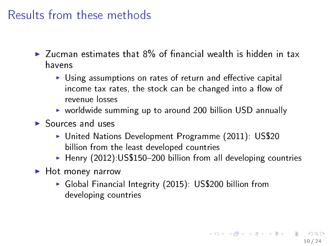# Results from these methods

- $\blacktriangleright$  Zucman estimates that 8% of financial wealth is hidden in tax havens
	- $\triangleright$  Using assumptions on rates of return and effective capital income tax rates, the stock can be changed into a flow of revenue losses
	- $\triangleright$  worldwide summing up to around 200 billion USD annually
- $\blacktriangleright$  Sources and uses
	- ► United Nations Development Programme (2011): US\$20 billion from the least developed countries
	- $\blacktriangleright$  Henry (2012):US\$150-200 billion from all developing countries
- $\blacktriangleright$  Hot money narrow
	- ► Global Financial Integrity (2015): US\$200 billion from developing countries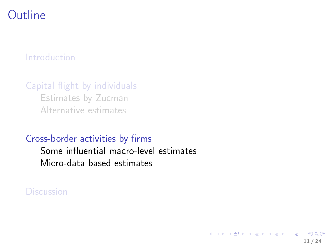#### <span id="page-10-0"></span>[Introduction](#page-1-0)

Capital flight by individuals [Estimates by Zucman](#page-5-0) [Alternative estimates](#page-7-0)

Cross-border activities by firms

Some influential macro-level estimates [Micro-data based estimates](#page-16-0)

11 / 24

 $\Omega$ 

目

イロチ イ部 メイモチ イモチー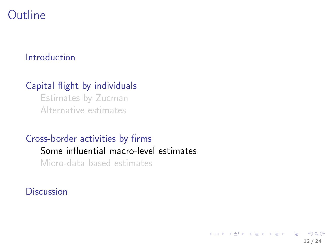#### <span id="page-11-0"></span>[Introduction](#page-1-0)

### Capital flight by individuals

[Estimates by Zucman](#page-5-0) [Alternative estimates](#page-7-0)

### Cross-border activities by firms Some influential macro-level estimates

[Micro-data based estimates](#page-16-0)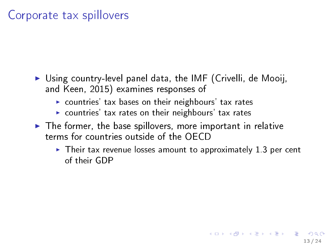# Corporate tax spillovers

- $\triangleright$  Using country-level panel data, the IMF (Crivelli, de Mooij, and Keen, 2015) examines responses of
	- $\triangleright$  countries' tax bases on their neighbours' tax rates
	- $\blacktriangleright$  countries' tax rates on their neighbours' tax rates
- $\blacktriangleright$  The former, the base spillovers, more important in relative terms for countries outside of the OECD
	- $\triangleright$  Their tax revenue losses amount to approximately 1.3 per cent of their GDP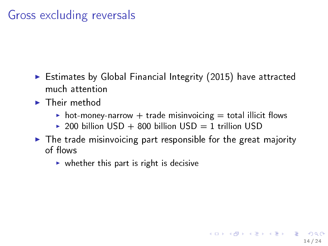# Gross excluding reversals

- $\triangleright$  Estimates by Global Financial Integrity (2015) have attracted much attention
- $\blacktriangleright$  Their method
	- $\triangleright$  hot-money-narrow + trade misinvoicing = total illicit flows
	- ▶ 200 billion  $USD + 800$  billion  $USD = 1$  trillion  $USD$
- $\triangleright$  The trade misinvoicing part responsible for the great majority of flows

14 / 24

 $A \cap B \rightarrow A \cap B \rightarrow A \Rightarrow B \rightarrow A \Rightarrow B \rightarrow B$ 

 $\triangleright$  whether this part is right is decisive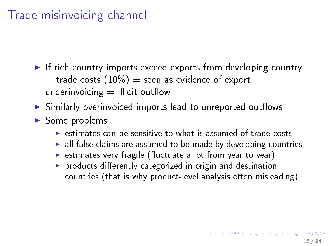# Trade misinvoicing channel

- $\blacktriangleright$  If rich country imports exceed exports from developing country + trade costs  $(10\%)$  = seen as evidence of export underinvoicing  $=$  illicit outflow
- $\triangleright$  Similarly overinvoiced imports lead to unreported outflows
- $\triangleright$  Some problems
	- $\triangleright$  estimates can be sensitive to what is assumed of trade costs
	- $\blacktriangleright$  all false claims are assumed to be made by developing countries
	- $\triangleright$  estimates very fragile (fluctuate a lot from year to year)
	- $\triangleright$  products differently categorized in origin and destination countries (that is why product-level analysis often misleading)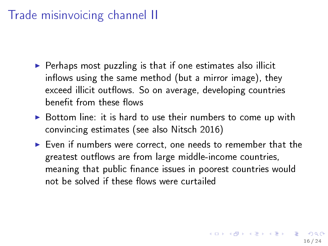# Trade misinvoicing channel II

- $\triangleright$  Perhaps most puzzling is that if one estimates also illicit inflows using the same method (but a mirror image), they exceed illicit outflows. So on average, developing countries benefit from these flows
- $\triangleright$  Bottom line: it is hard to use their numbers to come up with convincing estimates (see also Nitsch 2016)
- $\triangleright$  Even if numbers were correct, one needs to remember that the greatest outflows are from large middle-income countries, meaning that public finance issues in poorest countries would not be solved if these flows were curtailed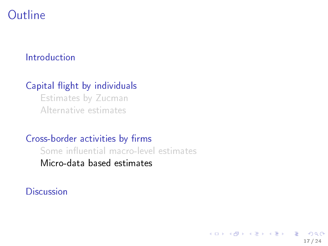#### <span id="page-16-0"></span>[Introduction](#page-1-0)

### Capital flight by individuals

[Estimates by Zucman](#page-5-0) [Alternative estimates](#page-7-0)

#### Cross-border activities by firms

Some influential macro-level estimates [Micro-data based estimates](#page-16-0)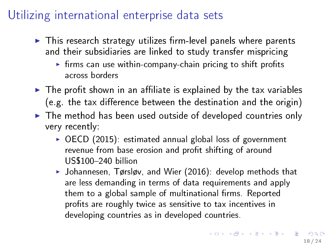# Utilizing international enterprise data sets

- $\blacktriangleright$  This research strategy utilizes firm-level panels where parents and their subsidiaries are linked to study transfer mispricing
	- $\triangleright$  firms can use within-company-chain pricing to shift profits across borders
- $\blacktriangleright$  The profit shown in an affiliate is explained by the tax variables (e.g. the tax difference between the destination and the origin)
- $\blacktriangleright$  The method has been used outside of developed countries only very recently:
	- $\triangleright$  OECD (2015): estimated annual global loss of government revenue from base erosion and profit shifting of around US\$100240 billion
	- $\blacktriangleright$  Johannesen, Tørsløv, and Wier (2016): develop methods that are less demanding in terms of data requirements and apply them to a global sample of multinational firms. Reported profits are roughly twice as sensitive to tax incentives in developing countries as in developed countries.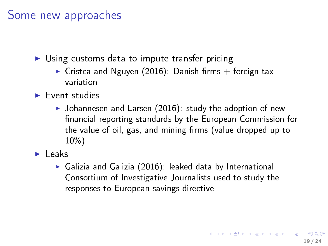## Some new approaches

- $\triangleright$  Using customs data to impute transfer pricing
	- $\triangleright$  Cristea and Nguyen (2016): Danish firms + foreign tax variation
- $\blacktriangleright$  Event studies
	- $\blacktriangleright$  Johannesen and Larsen (2016): study the adoption of new nancial reporting standards by the European Commission for the value of oil, gas, and mining firms (value dropped up to 10%)

 $\blacktriangleright$  Leaks

 $\triangleright$  Galizia and Galizia (2016): leaked data by International Consortium of Investigative Journalists used to study the responses to European savings directive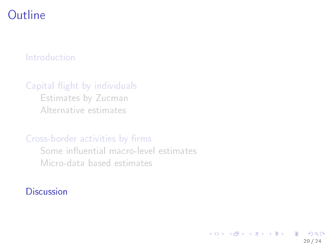#### <span id="page-19-0"></span>[Introduction](#page-1-0)

#### Capital flight by individuals

[Estimates by Zucman](#page-5-0) [Alternative estimates](#page-7-0)

#### Cross-border activities by firms

Some influential macro-level estimates [Micro-data based estimates](#page-16-0)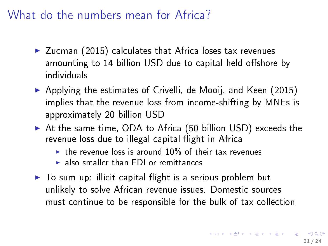# What do the numbers mean for Africa?

- $\blacktriangleright$  Zucman (2015) calculates that Africa loses tax revenues amounting to 14 billion USD due to capital held offshore by individuals
- $\triangleright$  Applying the estimates of Crivelli, de Mooij, and Keen (2015) implies that the revenue loss from income-shifting by MNEs is approximately 20 billion USD
- $\blacktriangleright$  At the same time, ODA to Africa (50 billion USD) exceeds the revenue loss due to illegal capital flight in Africa
	- $\triangleright$  the revenue loss is around 10% of their tax revenues
	- $\blacktriangleright$  also smaller than FDI or remittances
- $\triangleright$  To sum up: illicit capital flight is a serious problem but unlikely to solve African revenue issues. Domestic sources must continue to be responsible for the bulk of tax collection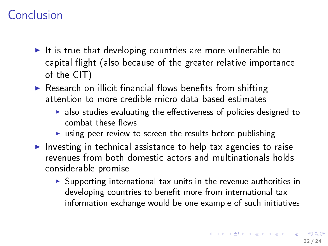# Conclusion

- It is true that developing countries are more vulnerable to capital flight (also because of the greater relative importance of the CIT)
- $\triangleright$  Research on illicit financial flows benefits from shifting attention to more credible micro-data based estimates
	- $\blacktriangleright$  also studies evaluating the effectiveness of policies designed to combat these flows
	- $\triangleright$  using peer review to screen the results before publishing
- Investing in technical assistance to help tax agencies to raise revenues from both domestic actors and multinationals holds considerable promise
	- $\triangleright$  Supporting international tax units in the revenue authorities in developing countries to benefit more from international tax information exchange would be one example of such initiatives.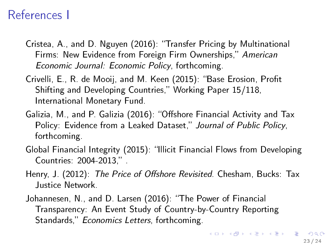## References I

- Cristea, A., and D. Nguyen (2016): Transfer Pricing by Multinational Firms: New Evidence from Foreign Firm Ownerships," American Economic Journal: Economic Policy, forthcoming.
- Crivelli, E., R. de Mooij, and M. Keen (2015): "Base Erosion, Profit Shifting and Developing Countries," Working Paper 15/118, International Monetary Fund.
- Galizia, M., and P. Galizia (2016): "Offshore Financial Activity and Tax Policy: Evidence from a Leaked Dataset," Journal of Public Policy, forthcoming.
- Global Financial Integrity (2015): "Illicit Financial Flows from Developing Countries: 2004-2013,"
- Henry, J. (2012): The Price of Offshore Revisited. Chesham, Bucks: Tax Justice Network.
- Johannesen, N., and D. Larsen (2016): "The Power of Financial Transparency: An Event Study of Country-by-Country Reporting Standards," Economics Letters, forthcoming.